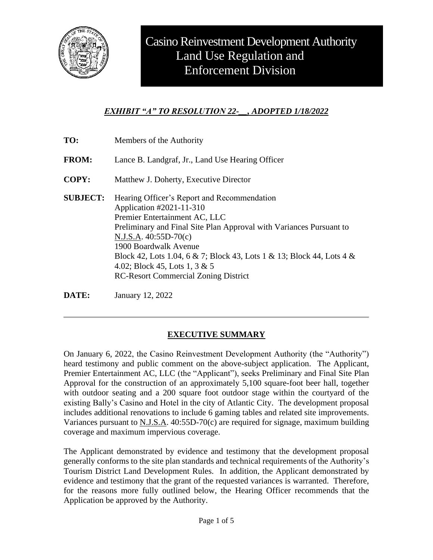

## *EXHIBIT "A" TO RESOLUTION 22-\_\_, ADOPTED 1/18/2022*

| TO:             | Members of the Authority                                                                                                                                                                                                                                                                                                                                                                     |
|-----------------|----------------------------------------------------------------------------------------------------------------------------------------------------------------------------------------------------------------------------------------------------------------------------------------------------------------------------------------------------------------------------------------------|
| <b>FROM:</b>    | Lance B. Landgraf, Jr., Land Use Hearing Officer                                                                                                                                                                                                                                                                                                                                             |
| <b>COPY:</b>    | Matthew J. Doherty, Executive Director                                                                                                                                                                                                                                                                                                                                                       |
| <b>SUBJECT:</b> | Hearing Officer's Report and Recommendation<br>Application #2021-11-310<br>Premier Entertainment AC, LLC<br>Preliminary and Final Site Plan Approval with Variances Pursuant to<br>$N.J.S.A. 40:55D-70(c)$<br>1900 Boardwalk Avenue<br>Block 42, Lots 1.04, 6 & 7; Block 43, Lots 1 & 13; Block 44, Lots 4 &<br>4.02; Block 45, Lots 1, 3 & 5<br><b>RC-Resort Commercial Zoning District</b> |

**DATE:** January 12, 2022

### **EXECUTIVE SUMMARY**

On January 6, 2022, the Casino Reinvestment Development Authority (the "Authority") heard testimony and public comment on the above-subject application. The Applicant, Premier Entertainment AC, LLC (the "Applicant"), seeks Preliminary and Final Site Plan Approval for the construction of an approximately 5,100 square-foot beer hall, together with outdoor seating and a 200 square foot outdoor stage within the courtyard of the existing Bally's Casino and Hotel in the city of Atlantic City. The development proposal includes additional renovations to include 6 gaming tables and related site improvements. Variances pursuant to N.J.S.A. 40:55D-70(c) are required for signage, maximum building coverage and maximum impervious coverage.

The Applicant demonstrated by evidence and testimony that the development proposal generally conforms to the site plan standards and technical requirements of the Authority's Tourism District Land Development Rules. In addition, the Applicant demonstrated by evidence and testimony that the grant of the requested variances is warranted. Therefore, for the reasons more fully outlined below, the Hearing Officer recommends that the Application be approved by the Authority.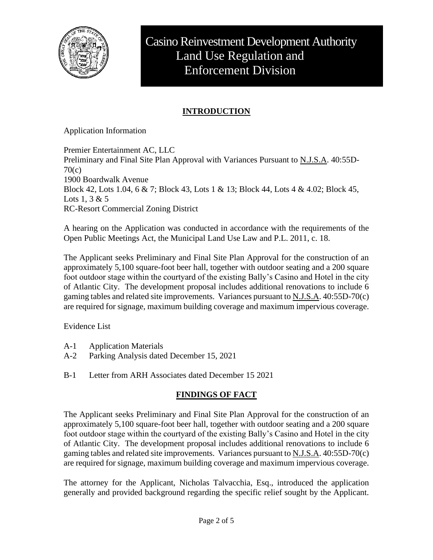

## **INTRODUCTION**

Application Information

Premier Entertainment AC, LLC Preliminary and Final Site Plan Approval with Variances Pursuant to N.J.S.A. 40:55D-70(c) 1900 Boardwalk Avenue Block 42, Lots 1.04, 6 & 7; Block 43, Lots 1 & 13; Block 44, Lots 4 & 4.02; Block 45, Lots 1, 3 & 5 RC-Resort Commercial Zoning District

A hearing on the Application was conducted in accordance with the requirements of the Open Public Meetings Act, the Municipal Land Use Law and P.L. 2011, c. 18.

The Applicant seeks Preliminary and Final Site Plan Approval for the construction of an approximately 5,100 square-foot beer hall, together with outdoor seating and a 200 square foot outdoor stage within the courtyard of the existing Bally's Casino and Hotel in the city of Atlantic City. The development proposal includes additional renovations to include 6 gaming tables and related site improvements. Variances pursuant to N.J.S.A. 40:55D-70(c) are required for signage, maximum building coverage and maximum impervious coverage.

Evidence List

- A-1 Application Materials
- A-2 Parking Analysis dated December 15, 2021
- B-1 Letter from ARH Associates dated December 15 2021

### **FINDINGS OF FACT**

The Applicant seeks Preliminary and Final Site Plan Approval for the construction of an approximately 5,100 square-foot beer hall, together with outdoor seating and a 200 square foot outdoor stage within the courtyard of the existing Bally's Casino and Hotel in the city of Atlantic City. The development proposal includes additional renovations to include 6 gaming tables and related site improvements. Variances pursuant to  $N.J.S.A.$  40:55D-70(c) are required for signage, maximum building coverage and maximum impervious coverage.

The attorney for the Applicant, Nicholas Talvacchia, Esq., introduced the application generally and provided background regarding the specific relief sought by the Applicant.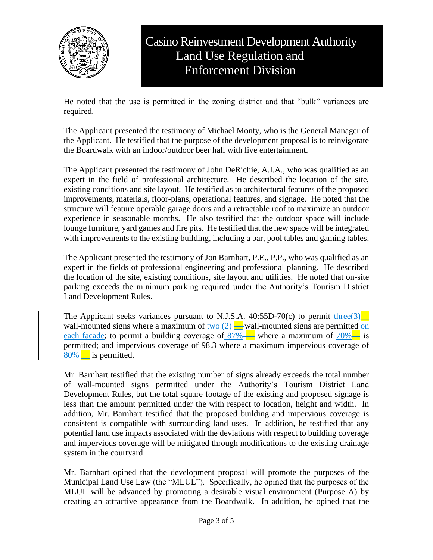

He noted that the use is permitted in the zoning district and that "bulk" variances are required.

The Applicant presented the testimony of Michael Monty, who is the General Manager of the Applicant. He testified that the purpose of the development proposal is to reinvigorate the Boardwalk with an indoor/outdoor beer hall with live entertainment.

The Applicant presented the testimony of John DeRichie, A.I.A., who was qualified as an expert in the field of professional architecture. He described the location of the site, existing conditions and site layout. He testified as to architectural features of the proposed improvements, materials, floor-plans, operational features, and signage. He noted that the structure will feature operable garage doors and a retractable roof to maximize an outdoor experience in seasonable months. He also testified that the outdoor space will include lounge furniture, yard games and fire pits. He testified that the new space will be integrated with improvements to the existing building, including a bar, pool tables and gaming tables.

The Applicant presented the testimony of Jon Barnhart, P.E., P.P., who was qualified as an expert in the fields of professional engineering and professional planning. He described the location of the site, existing conditions, site layout and utilities. He noted that on-site parking exceeds the minimum parking required under the Authority's Tourism District Land Development Rules.

The Applicant seeks variances pursuant to N.J.S.A. 40:55D-70(c) to permit three(3) wall-mounted signs where a maximum of two  $(2)$  — wall-mounted signs are permitted on each facade; to permit a building coverage of  $87\%$ — where a maximum of  $70\%$ — is permitted; and impervious coverage of 98.3 where a maximum impervious coverage of  $80\%$  — is permitted.

Mr. Barnhart testified that the existing number of signs already exceeds the total number of wall-mounted signs permitted under the Authority's Tourism District Land Development Rules, but the total square footage of the existing and proposed signage is less than the amount permitted under the with respect to location, height and width. In addition, Mr. Barnhart testified that the proposed building and impervious coverage is consistent is compatible with surrounding land uses. In addition, he testified that any potential land use impacts associated with the deviations with respect to building coverage and impervious coverage will be mitigated through modifications to the existing drainage system in the courtyard.

Mr. Barnhart opined that the development proposal will promote the purposes of the Municipal Land Use Law (the "MLUL"). Specifically, he opined that the purposes of the MLUL will be advanced by promoting a desirable visual environment (Purpose A) by creating an attractive appearance from the Boardwalk. In addition, he opined that the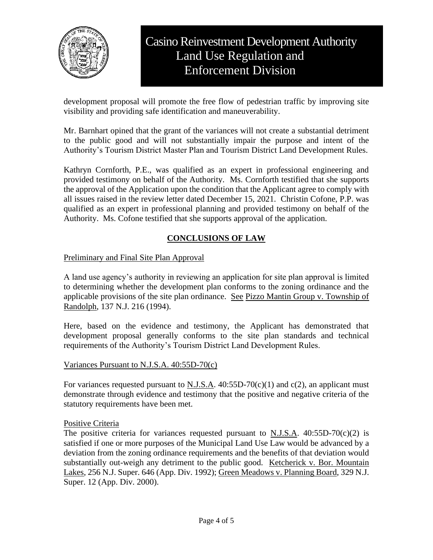

development proposal will promote the free flow of pedestrian traffic by improving site visibility and providing safe identification and maneuverability.

Mr. Barnhart opined that the grant of the variances will not create a substantial detriment to the public good and will not substantially impair the purpose and intent of the Authority's Tourism District Master Plan and Tourism District Land Development Rules.

Kathryn Cornforth, P.E., was qualified as an expert in professional engineering and provided testimony on behalf of the Authority. Ms. Cornforth testified that she supports the approval of the Application upon the condition that the Applicant agree to comply with all issues raised in the review letter dated December 15, 2021. Christin Cofone, P.P. was qualified as an expert in professional planning and provided testimony on behalf of the Authority. Ms. Cofone testified that she supports approval of the application.

### **CONCLUSIONS OF LAW**

#### Preliminary and Final Site Plan Approval

A land use agency's authority in reviewing an application for site plan approval is limited to determining whether the development plan conforms to the zoning ordinance and the applicable provisions of the site plan ordinance. See Pizzo Mantin Group v. Township of Randolph, 137 N.J. 216 (1994).

Here, based on the evidence and testimony, the Applicant has demonstrated that development proposal generally conforms to the site plan standards and technical requirements of the Authority's Tourism District Land Development Rules.

#### Variances Pursuant to N.J.S.A. 40:55D-70(c)

For variances requested pursuant to N.J.S.A.  $40:55D-70(c)(1)$  and  $c(2)$ , an applicant must demonstrate through evidence and testimony that the positive and negative criteria of the statutory requirements have been met.

#### Positive Criteria

The positive criteria for variances requested pursuant to N.J.S.A.  $40:55D-70(c)(2)$  is satisfied if one or more purposes of the Municipal Land Use Law would be advanced by a deviation from the zoning ordinance requirements and the benefits of that deviation would substantially out-weigh any detriment to the public good. Ketcherick v. Bor. Mountain Lakes, 256 N.J. Super. 646 (App. Div. 1992); Green Meadows v. Planning Board, 329 N.J. Super. 12 (App. Div. 2000).